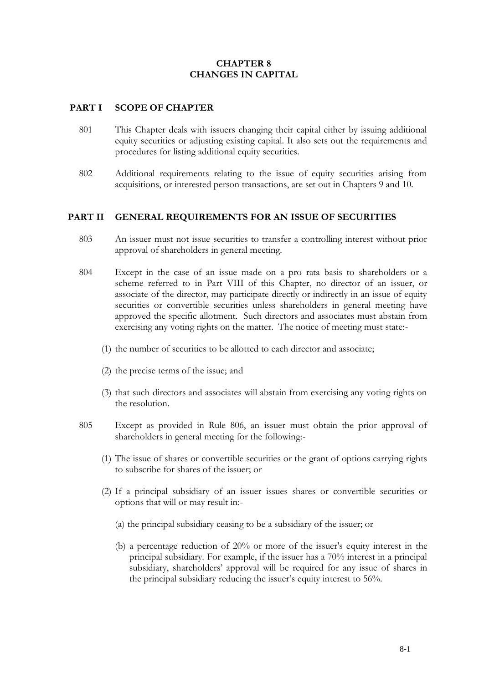# **CHAPTER 8 CHANGES IN CAPITAL**

## **PART I SCOPE OF CHAPTER**

- 801 This Chapter deals with issuers changing their capital either by issuing additional equity securities or adjusting existing capital. It also sets out the requirements and procedures for listing additional equity securities.
- 802 Additional requirements relating to the issue of equity securities arising from acquisitions, or interested person transactions, are set out in Chapters 9 and 10.

## **PART II GENERAL REQUIREMENTS FOR AN ISSUE OF SECURITIES**

- 803 An issuer must not issue securities to transfer a controlling interest without prior approval of shareholders in general meeting.
- 804 Except in the case of an issue made on a pro rata basis to shareholders or a scheme referred to in Part VIII of this Chapter, no director of an issuer, or associate of the director, may participate directly or indirectly in an issue of equity securities or convertible securities unless shareholders in general meeting have approved the specific allotment. Such directors and associates must abstain from exercising any voting rights on the matter. The notice of meeting must state:-
	- (1) the number of securities to be allotted to each director and associate;
	- (2) the precise terms of the issue; and
	- (3) that such directors and associates will abstain from exercising any voting rights on the resolution.
- 805 Except as provided in Rule 806, an issuer must obtain the prior approval of shareholders in general meeting for the following:-
	- (1) The issue of shares or convertible securities or the grant of options carrying rights to subscribe for shares of the issuer; or
	- (2) If a principal subsidiary of an issuer issues shares or convertible securities or options that will or may result in:-
		- (a) the principal subsidiary ceasing to be a subsidiary of the issuer; or
		- (b) a percentage reduction of 20% or more of the issuer's equity interest in the principal subsidiary. For example, if the issuer has a 70% interest in a principal subsidiary, shareholders' approval will be required for any issue of shares in the principal subsidiary reducing the issuer's equity interest to 56%.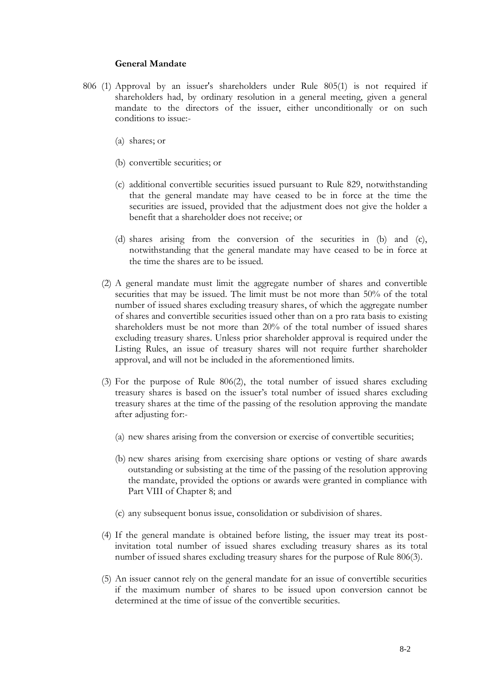### **General Mandate**

- 806 (1) Approval by an issuer's shareholders under Rule 805(1) is not required if shareholders had, by ordinary resolution in a general meeting, given a general mandate to the directors of the issuer, either unconditionally or on such conditions to issue:-
	- (a) shares; or
	- (b) convertible securities; or
	- (c) additional convertible securities issued pursuant to Rule 829, notwithstanding that the general mandate may have ceased to be in force at the time the securities are issued, provided that the adjustment does not give the holder a benefit that a shareholder does not receive; or
	- (d) shares arising from the conversion of the securities in (b) and (c), notwithstanding that the general mandate may have ceased to be in force at the time the shares are to be issued.
	- (2) A general mandate must limit the aggregate number of shares and convertible securities that may be issued. The limit must be not more than 50% of the total number of issued shares excluding treasury shares, of which the aggregate number of shares and convertible securities issued other than on a pro rata basis to existing shareholders must be not more than 20% of the total number of issued shares excluding treasury shares. Unless prior shareholder approval is required under the Listing Rules, an issue of treasury shares will not require further shareholder approval, and will not be included in the aforementioned limits.
	- (3) For the purpose of Rule 806(2), the total number of issued shares excluding treasury shares is based on the issuer's total number of issued shares excluding treasury shares at the time of the passing of the resolution approving the mandate after adjusting for:-
		- (a) new shares arising from the conversion or exercise of convertible securities;
		- (b) new shares arising from exercising share options or vesting of share awards outstanding or subsisting at the time of the passing of the resolution approving the mandate, provided the options or awards were granted in compliance with Part VIII of Chapter 8; and
		- (c) any subsequent bonus issue, consolidation or subdivision of shares.
	- (4) If the general mandate is obtained before listing, the issuer may treat its postinvitation total number of issued shares excluding treasury shares as its total number of issued shares excluding treasury shares for the purpose of Rule 806(3).
	- (5) An issuer cannot rely on the general mandate for an issue of convertible securities if the maximum number of shares to be issued upon conversion cannot be determined at the time of issue of the convertible securities.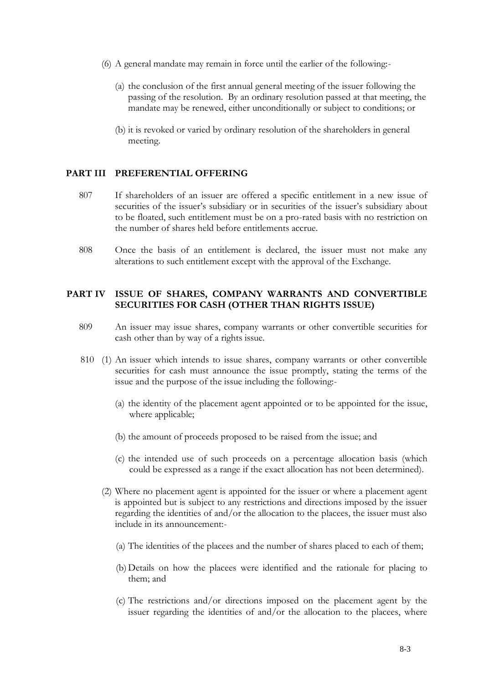- (6) A general mandate may remain in force until the earlier of the following:-
	- (a) the conclusion of the first annual general meeting of the issuer following the passing of the resolution. By an ordinary resolution passed at that meeting, the mandate may be renewed, either unconditionally or subject to conditions; or
	- (b) it is revoked or varied by ordinary resolution of the shareholders in general meeting.

#### **PART III PREFERENTIAL OFFERING**

- 807 If shareholders of an issuer are offered a specific entitlement in a new issue of securities of the issuer's subsidiary or in securities of the issuer's subsidiary about to be floated, such entitlement must be on a pro-rated basis with no restriction on the number of shares held before entitlements accrue.
- 808 Once the basis of an entitlement is declared, the issuer must not make any alterations to such entitlement except with the approval of the Exchange.

### **PART IV ISSUE OF SHARES, COMPANY WARRANTS AND CONVERTIBLE SECURITIES FOR CASH (OTHER THAN RIGHTS ISSUE)**

- 809 An issuer may issue shares, company warrants or other convertible securities for cash other than by way of a rights issue.
- 810 (1) An issuer which intends to issue shares, company warrants or other convertible securities for cash must announce the issue promptly, stating the terms of the issue and the purpose of the issue including the following:-
	- (a) the identity of the placement agent appointed or to be appointed for the issue, where applicable;
	- (b) the amount of proceeds proposed to be raised from the issue; and
	- (c) the intended use of such proceeds on a percentage allocation basis (which could be expressed as a range if the exact allocation has not been determined).
	- (2) Where no placement agent is appointed for the issuer or where a placement agent is appointed but is subject to any restrictions and directions imposed by the issuer regarding the identities of and/or the allocation to the placees, the issuer must also include in its announcement:-
		- (a) The identities of the placees and the number of shares placed to each of them;
		- (b)Details on how the placees were identified and the rationale for placing to them; and
		- (c) The restrictions and/or directions imposed on the placement agent by the issuer regarding the identities of and/or the allocation to the placees, where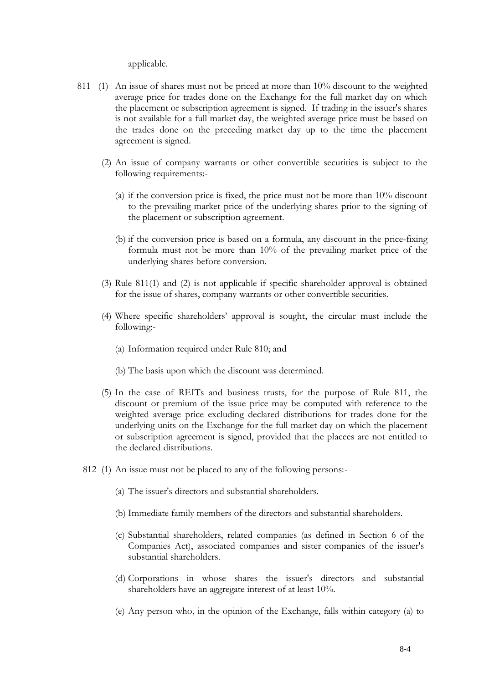applicable.

- 811 (1) An issue of shares must not be priced at more than 10% discount to the weighted average price for trades done on the Exchange for the full market day on which the placement or subscription agreement is signed. If trading in the issuer's shares is not available for a full market day, the weighted average price must be based on the trades done on the preceding market day up to the time the placement agreement is signed.
	- (2) An issue of company warrants or other convertible securities is subject to the following requirements:-
		- (a) if the conversion price is fixed, the price must not be more than  $10\%$  discount to the prevailing market price of the underlying shares prior to the signing of the placement or subscription agreement.
		- (b) if the conversion price is based on a formula, any discount in the price-fixing formula must not be more than 10% of the prevailing market price of the underlying shares before conversion.
	- (3) Rule 811(1) and (2) is not applicable if specific shareholder approval is obtained for the issue of shares, company warrants or other convertible securities.
	- (4) Where specific shareholders' approval is sought, the circular must include the following:-
		- (a) Information required under Rule 810; and
		- (b) The basis upon which the discount was determined.
	- (5) In the case of REITs and business trusts, for the purpose of Rule 811, the discount or premium of the issue price may be computed with reference to the weighted average price excluding declared distributions for trades done for the underlying units on the Exchange for the full market day on which the placement or subscription agreement is signed, provided that the placees are not entitled to the declared distributions.
	- 812 (1) An issue must not be placed to any of the following persons:-
		- (a) The issuer's directors and substantial shareholders.
		- (b) Immediate family members of the directors and substantial shareholders.
		- (c) Substantial shareholders, related companies (as defined in Section 6 of the Companies Act), associated companies and sister companies of the issuer's substantial shareholders.
		- (d) Corporations in whose shares the issuer's directors and substantial shareholders have an aggregate interest of at least 10%.
		- (e) Any person who, in the opinion of the Exchange, falls within category (a) to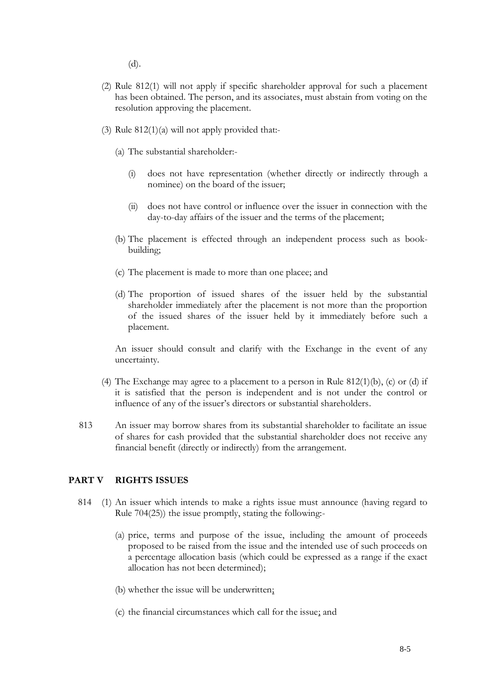(d).

- (2) Rule 812(1) will not apply if specific shareholder approval for such a placement has been obtained. The person, and its associates, must abstain from voting on the resolution approving the placement.
- (3) Rule  $812(1)(a)$  will not apply provided that:-
	- (a) The substantial shareholder:-
		- (i) does not have representation (whether directly or indirectly through a nominee) on the board of the issuer;
		- (ii) does not have control or influence over the issuer in connection with the day-to-day affairs of the issuer and the terms of the placement;
	- (b) The placement is effected through an independent process such as bookbuilding;
	- (c) The placement is made to more than one placee; and
	- (d) The proportion of issued shares of the issuer held by the substantial shareholder immediately after the placement is not more than the proportion of the issued shares of the issuer held by it immediately before such a placement.

An issuer should consult and clarify with the Exchange in the event of any uncertainty.

- (4) The Exchange may agree to a placement to a person in Rule  $812(1)(b)$ , (c) or (d) if it is satisfied that the person is independent and is not under the control or influence of any of the issuer's directors or substantial shareholders.
- 813 An issuer may borrow shares from its substantial shareholder to facilitate an issue of shares for cash provided that the substantial shareholder does not receive any financial benefit (directly or indirectly) from the arrangement.

## **PART V RIGHTS ISSUES**

- 814 (1) An issuer which intends to make a rights issue must announce (having regard to Rule 704(25)) the issue promptly, stating the following:-
	- (a) price, terms and purpose of the issue, including the amount of proceeds proposed to be raised from the issue and the intended use of such proceeds on a percentage allocation basis (which could be expressed as a range if the exact allocation has not been determined);
	- (b) whether the issue will be underwritten;
	- (c) the financial circumstances which call for the issue; and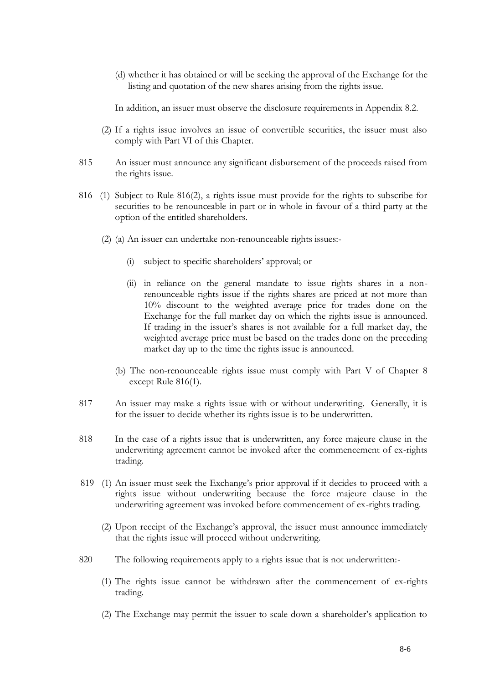(d) whether it has obtained or will be seeking the approval of the Exchange for the listing and quotation of the new shares arising from the rights issue.

In addition, an issuer must observe the disclosure requirements in Appendix 8.2.

- (2) If a rights issue involves an issue of convertible securities, the issuer must also comply with Part VI of this Chapter.
- 815 An issuer must announce any significant disbursement of the proceeds raised from the rights issue.
- 816 (1) Subject to Rule 816(2), a rights issue must provide for the rights to subscribe for securities to be renounceable in part or in whole in favour of a third party at the option of the entitled shareholders.
	- (2) (a) An issuer can undertake non-renounceable rights issues:-
		- (i) subject to specific shareholders' approval; or
		- (ii) in reliance on the general mandate to issue rights shares in a nonrenounceable rights issue if the rights shares are priced at not more than 10% discount to the weighted average price for trades done on the Exchange for the full market day on which the rights issue is announced. If trading in the issuer's shares is not available for a full market day, the weighted average price must be based on the trades done on the preceding market day up to the time the rights issue is announced.
		- (b) The non-renounceable rights issue must comply with Part V of Chapter 8 except Rule 816(1).
- 817 An issuer may make a rights issue with or without underwriting. Generally, it is for the issuer to decide whether its rights issue is to be underwritten.
- 818 In the case of a rights issue that is underwritten, any force majeure clause in the underwriting agreement cannot be invoked after the commencement of ex-rights trading.
- 819 (1) An issuer must seek the Exchange's prior approval if it decides to proceed with a rights issue without underwriting because the force majeure clause in the underwriting agreement was invoked before commencement of ex-rights trading.
	- (2) Upon receipt of the Exchange's approval, the issuer must announce immediately that the rights issue will proceed without underwriting.
- 820 The following requirements apply to a rights issue that is not underwritten:-
	- (1) The rights issue cannot be withdrawn after the commencement of ex-rights trading.
	- (2) The Exchange may permit the issuer to scale down a shareholder's application to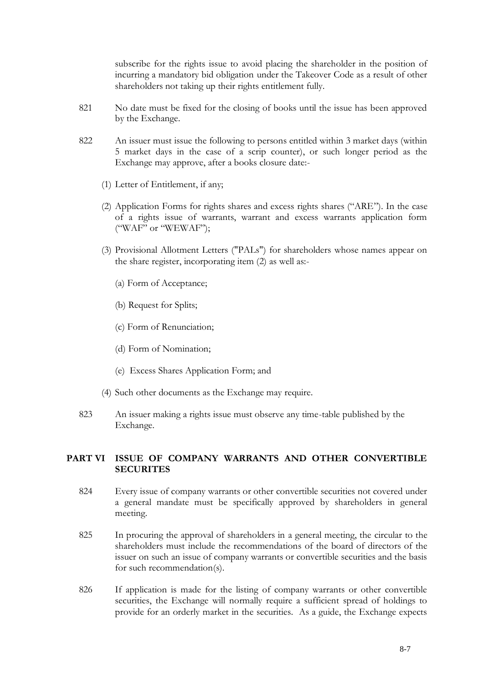subscribe for the rights issue to avoid placing the shareholder in the position of incurring a mandatory bid obligation under the Takeover Code as a result of other shareholders not taking up their rights entitlement fully.

- 821 No date must be fixed for the closing of books until the issue has been approved by the Exchange.
- 822 An issuer must issue the following to persons entitled within 3 market days (within 5 market days in the case of a scrip counter), or such longer period as the Exchange may approve, after a books closure date:-
	- (1) Letter of Entitlement, if any;
	- (2) Application Forms for rights shares and excess rights shares ("ARE"). In the case of a rights issue of warrants, warrant and excess warrants application form ("WAF" or "WEWAF");
	- (3) Provisional Allotment Letters ("PALs") for shareholders whose names appear on the share register, incorporating item (2) as well as:-
		- (a) Form of Acceptance;
		- (b) Request for Splits;
		- (c) Form of Renunciation;
		- (d) Form of Nomination;
		- (e) Excess Shares Application Form; and
	- (4) Such other documents as the Exchange may require.
- 823 An issuer making a rights issue must observe any time-table published by the Exchange.

## **PART VI ISSUE OF COMPANY WARRANTS AND OTHER CONVERTIBLE SECURITES**

- 824 Every issue of company warrants or other convertible securities not covered under a general mandate must be specifically approved by shareholders in general meeting.
- 825 In procuring the approval of shareholders in a general meeting, the circular to the shareholders must include the recommendations of the board of directors of the issuer on such an issue of company warrants or convertible securities and the basis for such recommendation(s).
- 826 If application is made for the listing of company warrants or other convertible securities, the Exchange will normally require a sufficient spread of holdings to provide for an orderly market in the securities. As a guide, the Exchange expects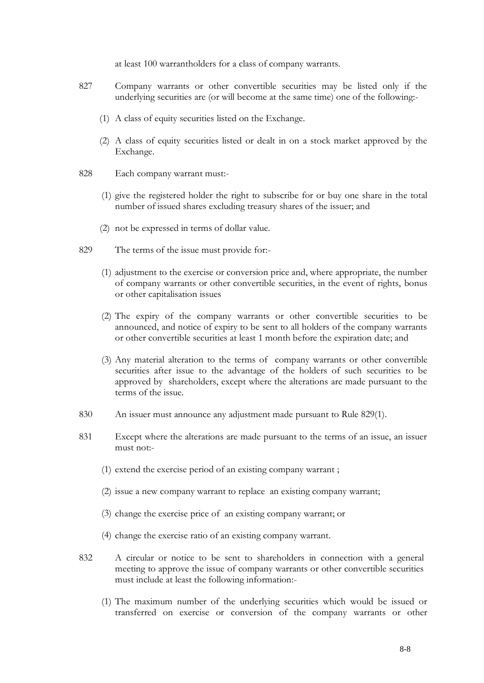at least 100 warrantholders for a class of company warrants.

- 827 Company warrants or other convertible securities may be listed only if the underlying securities are (or will become at the same time) one of the following:-
	- (1) A class of equity securities listed on the Exchange.
	- (2) A class of equity securities listed or dealt in on a stock market approved by the Exchange.
- 828 Each company warrant must:-
	- (1) give the registered holder the right to subscribe for or buy one share in the total number of issued shares excluding treasury shares of the issuer; and
	- (2) not be expressed in terms of dollar value.
- 829 The terms of the issue must provide for:-
	- (1) adjustment to the exercise or conversion price and, where appropriate, the number of company warrants or other convertible securities, in the event of rights, bonus or other capitalisation issues
	- (2) The expiry of the company warrants or other convertible securities to be announced, and notice of expiry to be sent to all holders of the company warrants or other convertible securities at least 1 month before the expiration date; and
	- (3) Any material alteration to the terms of company warrants or other convertible securities after issue to the advantage of the holders of such securities to be approved by shareholders, except where the alterations are made pursuant to the terms of the issue.
- 830 An issuer must announce any adjustment made pursuant to Rule 829(1).
- 831 Except where the alterations are made pursuant to the terms of an issue, an issuer must not:-
	- (1) extend the exercise period of an existing company warrant ;
	- (2) issue a new company warrant to replace an existing company warrant;
	- (3) change the exercise price of an existing company warrant; or
	- (4) change the exercise ratio of an existing company warrant.
- 832 A circular or notice to be sent to shareholders in connection with a general meeting to approve the issue of company warrants or other convertible securities must include at least the following information:-
	- (1) The maximum number of the underlying securities which would be issued or transferred on exercise or conversion of the company warrants or other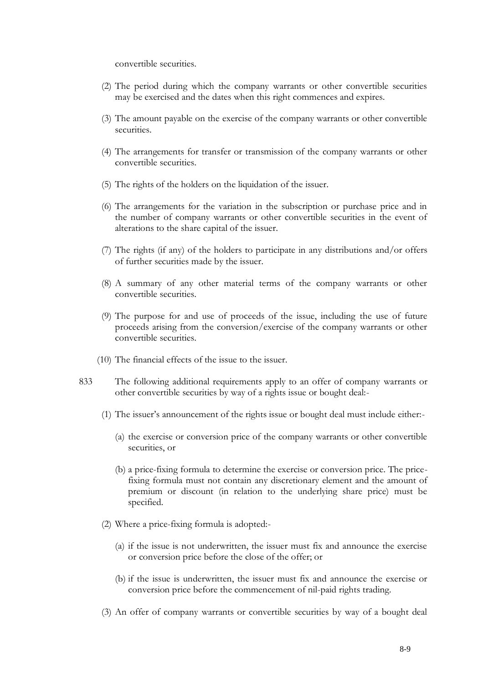convertible securities.

- (2) The period during which the company warrants or other convertible securities may be exercised and the dates when this right commences and expires.
- (3) The amount payable on the exercise of the company warrants or other convertible securities.
- (4) The arrangements for transfer or transmission of the company warrants or other convertible securities.
- (5) The rights of the holders on the liquidation of the issuer.
- (6) The arrangements for the variation in the subscription or purchase price and in the number of company warrants or other convertible securities in the event of alterations to the share capital of the issuer.
- (7) The rights (if any) of the holders to participate in any distributions and/or offers of further securities made by the issuer.
- (8) A summary of any other material terms of the company warrants or other convertible securities.
- (9) The purpose for and use of proceeds of the issue, including the use of future proceeds arising from the conversion/exercise of the company warrants or other convertible securities.
- (10) The financial effects of the issue to the issuer.
- 833 The following additional requirements apply to an offer of company warrants or other convertible securities by way of a rights issue or bought deal:-
	- (1) The issuer's announcement of the rights issue or bought deal must include either:-
		- (a) the exercise or conversion price of the company warrants or other convertible securities, or
		- (b) a price-fixing formula to determine the exercise or conversion price. The pricefixing formula must not contain any discretionary element and the amount of premium or discount (in relation to the underlying share price) must be specified.
	- (2) Where a price-fixing formula is adopted:-
		- (a) if the issue is not underwritten, the issuer must fix and announce the exercise or conversion price before the close of the offer; or
		- (b) if the issue is underwritten, the issuer must fix and announce the exercise or conversion price before the commencement of nil-paid rights trading.
	- (3) An offer of company warrants or convertible securities by way of a bought deal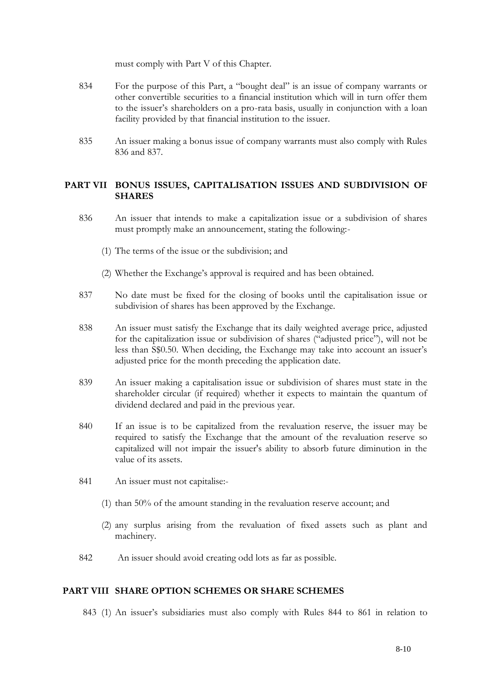must comply with Part V of this Chapter.

- 834 For the purpose of this Part, a "bought deal" is an issue of company warrants or other convertible securities to a financial institution which will in turn offer them to the issuer's shareholders on a pro-rata basis, usually in conjunction with a loan facility provided by that financial institution to the issuer.
- 835 An issuer making a bonus issue of company warrants must also comply with Rules 836 and 837.

# **PART VII BONUS ISSUES, CAPITALISATION ISSUES AND SUBDIVISION OF SHARES**

- 836 An issuer that intends to make a capitalization issue or a subdivision of shares must promptly make an announcement, stating the following:-
	- (1) The terms of the issue or the subdivision; and
	- (2) Whether the Exchange's approval is required and has been obtained.
- 837 No date must be fixed for the closing of books until the capitalisation issue or subdivision of shares has been approved by the Exchange.
- 838 An issuer must satisfy the Exchange that its daily weighted average price, adjusted for the capitalization issue or subdivision of shares ("adjusted price"), will not be less than S\$0.50. When deciding, the Exchange may take into account an issuer's adjusted price for the month preceding the application date.
- 839 An issuer making a capitalisation issue or subdivision of shares must state in the shareholder circular (if required) whether it expects to maintain the quantum of dividend declared and paid in the previous year.
- 840 If an issue is to be capitalized from the revaluation reserve, the issuer may be required to satisfy the Exchange that the amount of the revaluation reserve so capitalized will not impair the issuer's ability to absorb future diminution in the value of its assets.
- 841 An issuer must not capitalise:-
	- (1) than 50% of the amount standing in the revaluation reserve account; and
	- (2) any surplus arising from the revaluation of fixed assets such as plant and machinery.
- 842 An issuer should avoid creating odd lots as far as possible.

## **PART VIII SHARE OPTION SCHEMES OR SHARE SCHEMES**

843 (1) An issuer's subsidiaries must also comply with Rules 844 to 861 in relation to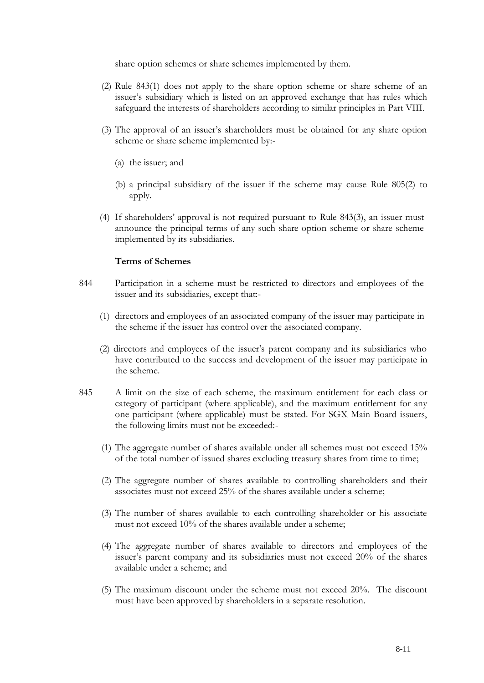share option schemes or share schemes implemented by them.

- (2) Rule 843(1) does not apply to the share option scheme or share scheme of an issuer's subsidiary which is listed on an approved exchange that has rules which safeguard the interests of shareholders according to similar principles in Part VIII.
- (3) The approval of an issuer's shareholders must be obtained for any share option scheme or share scheme implemented by:-
	- (a) the issuer; and
	- (b) a principal subsidiary of the issuer if the scheme may cause Rule 805(2) to apply.
- (4) If shareholders' approval is not required pursuant to Rule 843(3), an issuer must announce the principal terms of any such share option scheme or share scheme implemented by its subsidiaries.

## **Terms of Schemes**

- 844 Participation in a scheme must be restricted to directors and employees of the issuer and its subsidiaries, except that:-
	- (1) directors and employees of an associated company of the issuer may participate in the scheme if the issuer has control over the associated company.
	- (2) directors and employees of the issuer's parent company and its subsidiaries who have contributed to the success and development of the issuer may participate in the scheme.
- 845 A limit on the size of each scheme, the maximum entitlement for each class or category of participant (where applicable), and the maximum entitlement for any one participant (where applicable) must be stated. For SGX Main Board issuers, the following limits must not be exceeded:-
	- (1) The aggregate number of shares available under all schemes must not exceed 15% of the total number of issued shares excluding treasury shares from time to time;
	- (2) The aggregate number of shares available to controlling shareholders and their associates must not exceed 25% of the shares available under a scheme;
	- (3) The number of shares available to each controlling shareholder or his associate must not exceed 10% of the shares available under a scheme;
	- (4) The aggregate number of shares available to directors and employees of the issuer's parent company and its subsidiaries must not exceed 20% of the shares available under a scheme; and
	- (5) The maximum discount under the scheme must not exceed 20%. The discount must have been approved by shareholders in a separate resolution.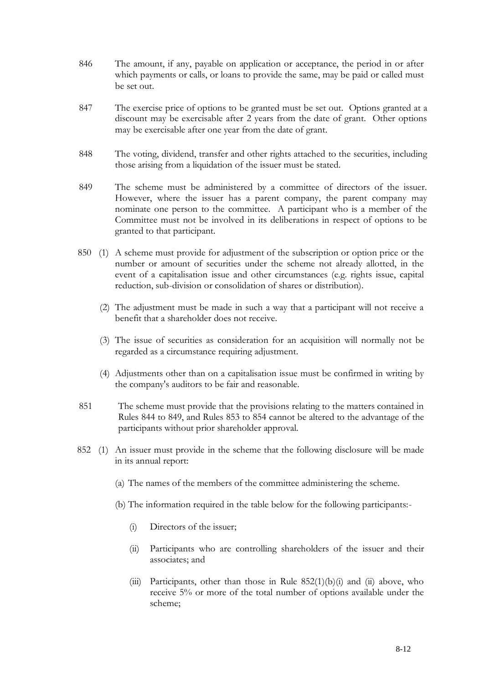- 846 The amount, if any, payable on application or acceptance, the period in or after which payments or calls, or loans to provide the same, may be paid or called must be set out.
- 847 The exercise price of options to be granted must be set out. Options granted at a discount may be exercisable after 2 years from the date of grant. Other options may be exercisable after one year from the date of grant.
- 848 The voting, dividend, transfer and other rights attached to the securities, including those arising from a liquidation of the issuer must be stated.
- 849 The scheme must be administered by a committee of directors of the issuer. However, where the issuer has a parent company, the parent company may nominate one person to the committee. A participant who is a member of the Committee must not be involved in its deliberations in respect of options to be granted to that participant.
- 850 (1) A scheme must provide for adjustment of the subscription or option price or the number or amount of securities under the scheme not already allotted, in the event of a capitalisation issue and other circumstances (e.g. rights issue, capital reduction, sub-division or consolidation of shares or distribution).
	- (2) The adjustment must be made in such a way that a participant will not receive a benefit that a shareholder does not receive.
	- (3) The issue of securities as consideration for an acquisition will normally not be regarded as a circumstance requiring adjustment.
	- (4) Adjustments other than on a capitalisation issue must be confirmed in writing by the company's auditors to be fair and reasonable.
	- 851 The scheme must provide that the provisions relating to the matters contained in Rules 844 to 849, and Rules 853 to 854 cannot be altered to the advantage of the participants without prior shareholder approval.
	- 852 (1) An issuer must provide in the scheme that the following disclosure will be made in its annual report:
		- (a) The names of the members of the committee administering the scheme.
		- (b) The information required in the table below for the following participants:-
			- (i) Directors of the issuer;
			- (ii) Participants who are controlling shareholders of the issuer and their associates; and
			- (iii) Participants, other than those in Rule  $852(1)(b)(i)$  and (ii) above, who receive 5% or more of the total number of options available under the scheme;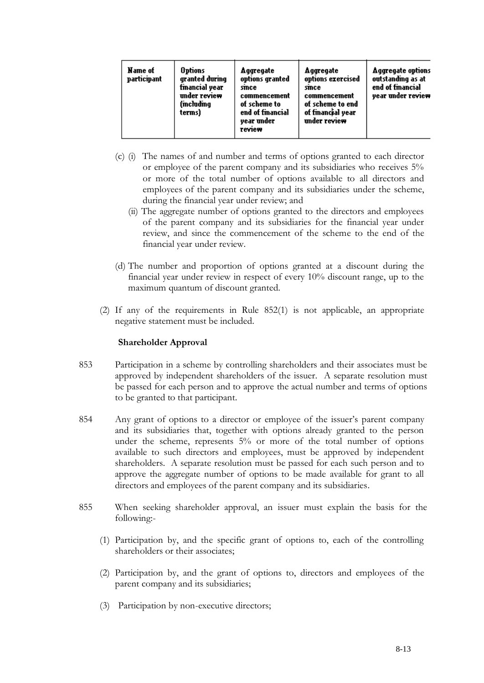| Name of<br>participant | <b>Options</b><br>granted during<br>financial yea <del>r</del><br>under review<br>(mcladina<br>terms) | Aggregate<br>options granted<br>smce<br>commencement<br>of scheme to<br>end of financial<br>year under<br>review | Aggregate<br>options exercised<br>smce<br>commencement<br>of scheme to end<br>of financial year<br>under review | <b>Aggregate options</b><br>outstanding as at<br>end of financial<br>year under review |
|------------------------|-------------------------------------------------------------------------------------------------------|------------------------------------------------------------------------------------------------------------------|-----------------------------------------------------------------------------------------------------------------|----------------------------------------------------------------------------------------|
|------------------------|-------------------------------------------------------------------------------------------------------|------------------------------------------------------------------------------------------------------------------|-----------------------------------------------------------------------------------------------------------------|----------------------------------------------------------------------------------------|

- (c) (i) The names of and number and terms of options granted to each director or employee of the parent company and its subsidiaries who receives 5% or more of the total number of options available to all directors and employees of the parent company and its subsidiaries under the scheme, during the financial year under review; and
	- (ii) The aggregate number of options granted to the directors and employees of the parent company and its subsidiaries for the financial year under review, and since the commencement of the scheme to the end of the financial year under review.
- (d) The number and proportion of options granted at a discount during the financial year under review in respect of every 10% discount range, up to the maximum quantum of discount granted.
- (2) If any of the requirements in Rule 852(1) is not applicable, an appropriate negative statement must be included.

## **Shareholder Approval**

- 853 Participation in a scheme by controlling shareholders and their associates must be approved by independent shareholders of the issuer. A separate resolution must be passed for each person and to approve the actual number and terms of options to be granted to that participant.
- 854 Any grant of options to a director or employee of the issuer's parent company and its subsidiaries that, together with options already granted to the person under the scheme, represents 5% or more of the total number of options available to such directors and employees, must be approved by independent shareholders. A separate resolution must be passed for each such person and to approve the aggregate number of options to be made available for grant to all directors and employees of the parent company and its subsidiaries.
- 855 When seeking shareholder approval, an issuer must explain the basis for the following:-
	- (1) Participation by, and the specific grant of options to, each of the controlling shareholders or their associates;
	- (2) Participation by, and the grant of options to, directors and employees of the parent company and its subsidiaries;
	- (3) Participation by non-executive directors;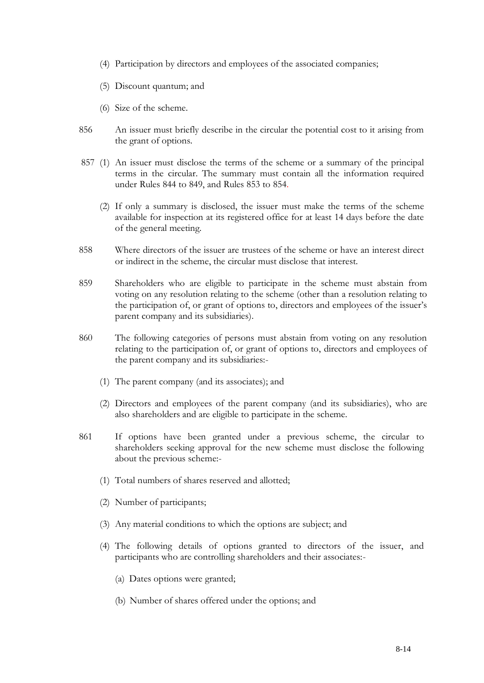- (4) Participation by directors and employees of the associated companies;
- (5) Discount quantum; and
- (6) Size of the scheme.
- 856 An issuer must briefly describe in the circular the potential cost to it arising from the grant of options.
- 857 (1) An issuer must disclose the terms of the scheme or a summary of the principal terms in the circular. The summary must contain all the information required under Rules 844 to 849, and Rules 853 to 854.
	- (2) If only a summary is disclosed, the issuer must make the terms of the scheme available for inspection at its registered office for at least 14 days before the date of the general meeting.
- 858 Where directors of the issuer are trustees of the scheme or have an interest direct or indirect in the scheme, the circular must disclose that interest.
- 859 Shareholders who are eligible to participate in the scheme must abstain from voting on any resolution relating to the scheme (other than a resolution relating to the participation of, or grant of options to, directors and employees of the issuer's parent company and its subsidiaries).
- 860 The following categories of persons must abstain from voting on any resolution relating to the participation of, or grant of options to, directors and employees of the parent company and its subsidiaries:-
	- (1) The parent company (and its associates); and
	- (2) Directors and employees of the parent company (and its subsidiaries), who are also shareholders and are eligible to participate in the scheme.
- 861 If options have been granted under a previous scheme, the circular to shareholders seeking approval for the new scheme must disclose the following about the previous scheme:-
	- (1) Total numbers of shares reserved and allotted;
	- (2) Number of participants;
	- (3) Any material conditions to which the options are subject; and
	- (4) The following details of options granted to directors of the issuer, and participants who are controlling shareholders and their associates:-
		- (a) Dates options were granted;
		- (b) Number of shares offered under the options; and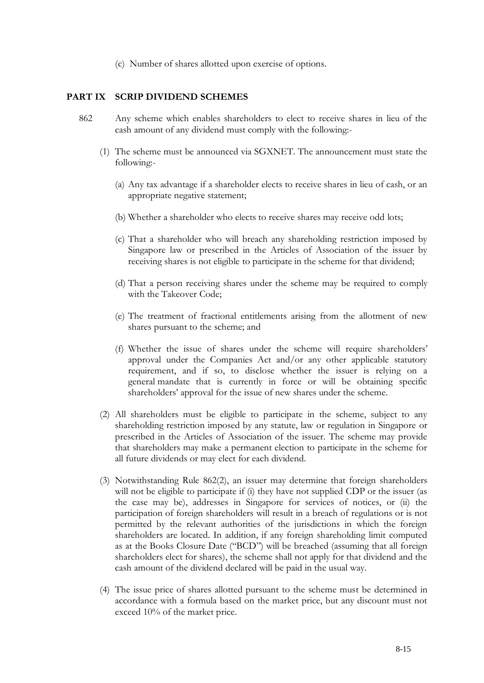(c) Number of shares allotted upon exercise of options.

### **PART IX SCRIP DIVIDEND SCHEMES**

- 862 Any scheme which enables shareholders to elect to receive shares in lieu of the cash amount of any dividend must comply with the following:-
	- (1) The scheme must be announced via SGXNET. The announcement must state the following:-
		- (a) Any tax advantage if a shareholder elects to receive shares in lieu of cash, or an appropriate negative statement;
		- (b) Whether a shareholder who elects to receive shares may receive odd lots;
		- (c) That a shareholder who will breach any shareholding restriction imposed by Singapore law or prescribed in the Articles of Association of the issuer by receiving shares is not eligible to participate in the scheme for that dividend;
		- (d) That a person receiving shares under the scheme may be required to comply with the Takeover Code;
		- (e) The treatment of fractional entitlements arising from the allotment of new shares pursuant to the scheme; and
		- (f) Whether the issue of shares under the scheme will require shareholders' approval under the Companies Act and/or any other applicable statutory requirement, and if so, to disclose whether the issuer is relying on a general mandate that is currently in force or will be obtaining specific shareholders' approval for the issue of new shares under the scheme.
	- (2) All shareholders must be eligible to participate in the scheme, subject to any shareholding restriction imposed by any statute, law or regulation in Singapore or prescribed in the Articles of Association of the issuer. The scheme may provide that shareholders may make a permanent election to participate in the scheme for all future dividends or may elect for each dividend.
	- (3) Notwithstanding Rule 862(2), an issuer may determine that foreign shareholders will not be eligible to participate if (i) they have not supplied CDP or the issuer (as the case may be), addresses in Singapore for services of notices, or (ii) the participation of foreign shareholders will result in a breach of regulations or is not permitted by the relevant authorities of the jurisdictions in which the foreign shareholders are located. In addition, if any foreign shareholding limit computed as at the Books Closure Date ("BCD") will be breached (assuming that all foreign shareholders elect for shares), the scheme shall not apply for that dividend and the cash amount of the dividend declared will be paid in the usual way.
	- (4) The issue price of shares allotted pursuant to the scheme must be determined in accordance with a formula based on the market price, but any discount must not exceed 10% of the market price.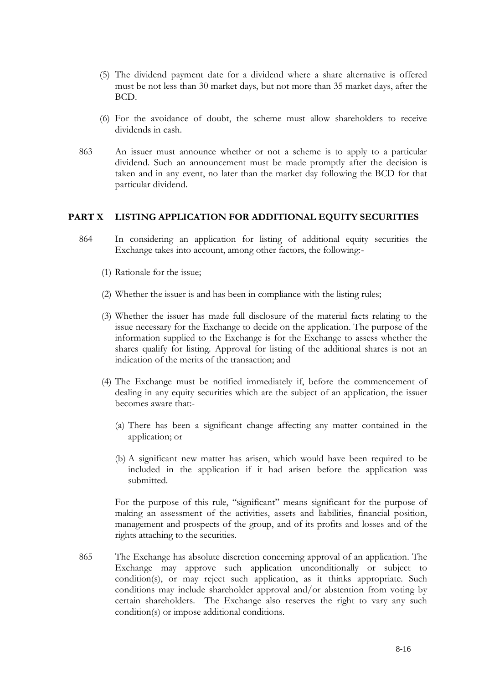- (5) The dividend payment date for a dividend where a share alternative is offered must be not less than 30 market days, but not more than 35 market days, after the BCD.
- (6) For the avoidance of doubt, the scheme must allow shareholders to receive dividends in cash.
- 863 An issuer must announce whether or not a scheme is to apply to a particular dividend. Such an announcement must be made promptly after the decision is taken and in any event, no later than the market day following the BCD for that particular dividend.

## **PART X LISTING APPLICATION FOR ADDITIONAL EQUITY SECURITIES**

- 864 In considering an application for listing of additional equity securities the Exchange takes into account, among other factors, the following:-
	- (1) Rationale for the issue;
	- (2) Whether the issuer is and has been in compliance with the listing rules;
	- (3) Whether the issuer has made full disclosure of the material facts relating to the issue necessary for the Exchange to decide on the application. The purpose of the information supplied to the Exchange is for the Exchange to assess whether the shares qualify for listing. Approval for listing of the additional shares is not an indication of the merits of the transaction; and
	- (4) The Exchange must be notified immediately if, before the commencement of dealing in any equity securities which are the subject of an application, the issuer becomes aware that:-
		- (a) There has been a significant change affecting any matter contained in the application; or
		- (b) A significant new matter has arisen, which would have been required to be included in the application if it had arisen before the application was submitted.

For the purpose of this rule, "significant" means significant for the purpose of making an assessment of the activities, assets and liabilities, financial position, management and prospects of the group, and of its profits and losses and of the rights attaching to the securities.

865 The Exchange has absolute discretion concerning approval of an application. The Exchange may approve such application unconditionally or subject to condition(s), or may reject such application, as it thinks appropriate. Such conditions may include shareholder approval and/or abstention from voting by certain shareholders. The Exchange also reserves the right to vary any such condition(s) or impose additional conditions.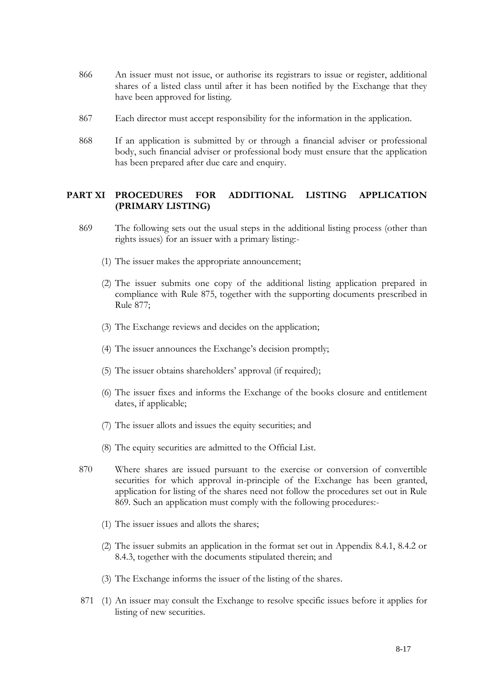- 866 An issuer must not issue, or authorise its registrars to issue or register, additional shares of a listed class until after it has been notified by the Exchange that they have been approved for listing.
- 867 Each director must accept responsibility for the information in the application.
- 868 If an application is submitted by or through a financial adviser or professional body, such financial adviser or professional body must ensure that the application has been prepared after due care and enquiry.

# **PART XI PROCEDURES FOR ADDITIONAL LISTING APPLICATION (PRIMARY LISTING)**

- 869 The following sets out the usual steps in the additional listing process (other than rights issues) for an issuer with a primary listing:-
	- (1) The issuer makes the appropriate announcement;
	- (2) The issuer submits one copy of the additional listing application prepared in compliance with Rule 875, together with the supporting documents prescribed in Rule 877;
	- (3) The Exchange reviews and decides on the application;
	- (4) The issuer announces the Exchange's decision promptly;
	- (5) The issuer obtains shareholders' approval (if required);
	- (6) The issuer fixes and informs the Exchange of the books closure and entitlement dates, if applicable;
	- (7) The issuer allots and issues the equity securities; and
	- (8) The equity securities are admitted to the Official List.
- 870 Where shares are issued pursuant to the exercise or conversion of convertible securities for which approval in-principle of the Exchange has been granted, application for listing of the shares need not follow the procedures set out in Rule 869. Such an application must comply with the following procedures:-
	- (1) The issuer issues and allots the shares;
	- (2) The issuer submits an application in the format set out in Appendix 8.4.1, 8.4.2 or 8.4.3, together with the documents stipulated therein; and
	- (3) The Exchange informs the issuer of the listing of the shares.
- 871 (1) An issuer may consult the Exchange to resolve specific issues before it applies for listing of new securities.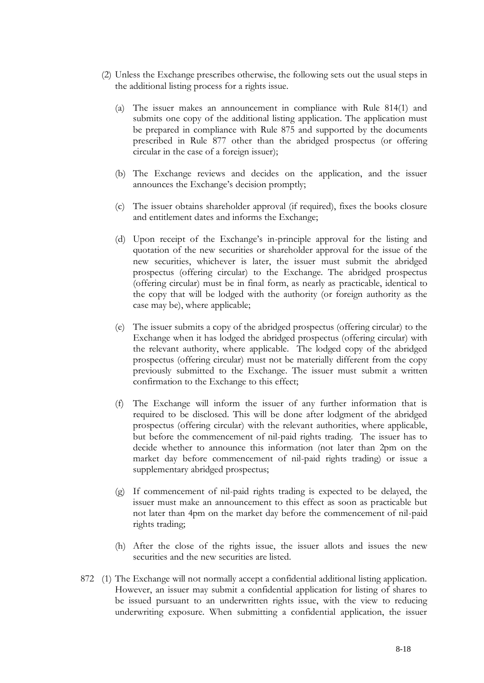- (2) Unless the Exchange prescribes otherwise, the following sets out the usual steps in the additional listing process for a rights issue.
	- (a) The issuer makes an announcement in compliance with Rule 814(1) and submits one copy of the additional listing application. The application must be prepared in compliance with Rule 875 and supported by the documents prescribed in Rule 877 other than the abridged prospectus (or offering circular in the case of a foreign issuer);
	- (b) The Exchange reviews and decides on the application, and the issuer announces the Exchange's decision promptly;
	- (c) The issuer obtains shareholder approval (if required), fixes the books closure and entitlement dates and informs the Exchange;
	- (d) Upon receipt of the Exchange's in-principle approval for the listing and quotation of the new securities or shareholder approval for the issue of the new securities, whichever is later, the issuer must submit the abridged prospectus (offering circular) to the Exchange. The abridged prospectus (offering circular) must be in final form, as nearly as practicable, identical to the copy that will be lodged with the authority (or foreign authority as the case may be), where applicable;
	- (e) The issuer submits a copy of the abridged prospectus (offering circular) to the Exchange when it has lodged the abridged prospectus (offering circular) with the relevant authority, where applicable. The lodged copy of the abridged prospectus (offering circular) must not be materially different from the copy previously submitted to the Exchange. The issuer must submit a written confirmation to the Exchange to this effect;
	- (f) The Exchange will inform the issuer of any further information that is required to be disclosed. This will be done after lodgment of the abridged prospectus (offering circular) with the relevant authorities, where applicable, but before the commencement of nil-paid rights trading. The issuer has to decide whether to announce this information (not later than 2pm on the market day before commencement of nil-paid rights trading) or issue a supplementary abridged prospectus;
	- (g) If commencement of nil-paid rights trading is expected to be delayed, the issuer must make an announcement to this effect as soon as practicable but not later than 4pm on the market day before the commencement of nil-paid rights trading;
	- (h) After the close of the rights issue, the issuer allots and issues the new securities and the new securities are listed.
- 872 (1) The Exchange will not normally accept a confidential additional listing application. However, an issuer may submit a confidential application for listing of shares to be issued pursuant to an underwritten rights issue, with the view to reducing underwriting exposure. When submitting a confidential application, the issuer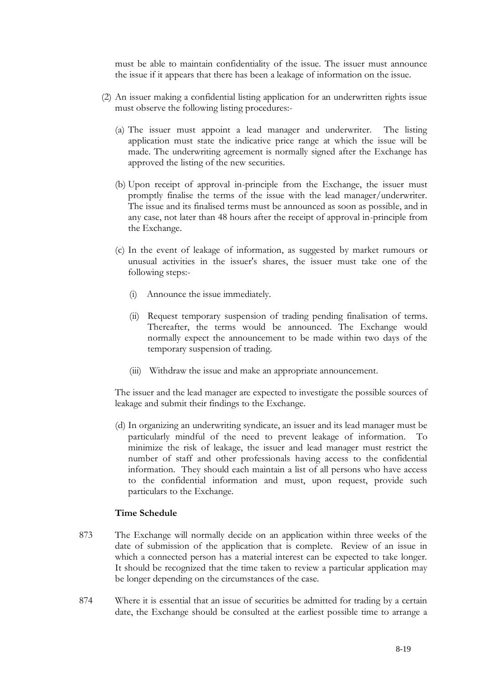must be able to maintain confidentiality of the issue. The issuer must announce the issue if it appears that there has been a leakage of information on the issue.

- (2) An issuer making a confidential listing application for an underwritten rights issue must observe the following listing procedures:-
	- (a) The issuer must appoint a lead manager and underwriter. The listing application must state the indicative price range at which the issue will be made. The underwriting agreement is normally signed after the Exchange has approved the listing of the new securities.
	- (b) Upon receipt of approval in-principle from the Exchange, the issuer must promptly finalise the terms of the issue with the lead manager/underwriter. The issue and its finalised terms must be announced as soon as possible, and in any case, not later than 48 hours after the receipt of approval in-principle from the Exchange.
	- (c) In the event of leakage of information, as suggested by market rumours or unusual activities in the issuer's shares, the issuer must take one of the following steps:-
		- (i) Announce the issue immediately.
		- (ii) Request temporary suspension of trading pending finalisation of terms. Thereafter, the terms would be announced. The Exchange would normally expect the announcement to be made within two days of the temporary suspension of trading.
		- (iii) Withdraw the issue and make an appropriate announcement.

The issuer and the lead manager are expected to investigate the possible sources of leakage and submit their findings to the Exchange.

(d) In organizing an underwriting syndicate, an issuer and its lead manager must be particularly mindful of the need to prevent leakage of information. To minimize the risk of leakage, the issuer and lead manager must restrict the number of staff and other professionals having access to the confidential information. They should each maintain a list of all persons who have access to the confidential information and must, upon request, provide such particulars to the Exchange.

### **Time Schedule**

- 873 The Exchange will normally decide on an application within three weeks of the date of submission of the application that is complete. Review of an issue in which a connected person has a material interest can be expected to take longer. It should be recognized that the time taken to review a particular application may be longer depending on the circumstances of the case.
- 874 Where it is essential that an issue of securities be admitted for trading by a certain date, the Exchange should be consulted at the earliest possible time to arrange a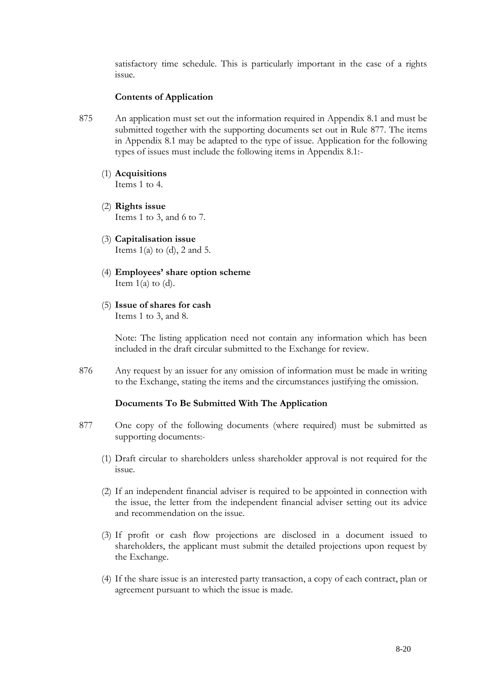satisfactory time schedule. This is particularly important in the case of a rights issue.

### **Contents of Application**

- 875 An application must set out the information required in Appendix 8.1 and must be submitted together with the supporting documents set out in Rule 877. The items in Appendix 8.1 may be adapted to the type of issue. Application for the following types of issues must include the following items in Appendix 8.1:-
	- (1) **Acquisitions** Items 1 to 4.
	- (2) **Rights issue** Items 1 to 3, and 6 to 7.
	- (3) **Capitalisation issue** Items  $1(a)$  to  $(d)$ , 2 and 5.
	- (4) **Employees' share option scheme** Item  $1(a)$  to  $(d)$ .
	- (5) **Issue of shares for cash** Items 1 to 3, and 8.

Note: The listing application need not contain any information which has been included in the draft circular submitted to the Exchange for review.

876 Any request by an issuer for any omission of information must be made in writing to the Exchange, stating the items and the circumstances justifying the omission.

## **Documents To Be Submitted With The Application**

- 877 One copy of the following documents (where required) must be submitted as supporting documents:-
	- (1) Draft circular to shareholders unless shareholder approval is not required for the issue.
	- (2) If an independent financial adviser is required to be appointed in connection with the issue, the letter from the independent financial adviser setting out its advice and recommendation on the issue.
	- (3) If profit or cash flow projections are disclosed in a document issued to shareholders, the applicant must submit the detailed projections upon request by the Exchange.
	- (4) If the share issue is an interested party transaction, a copy of each contract, plan or agreement pursuant to which the issue is made.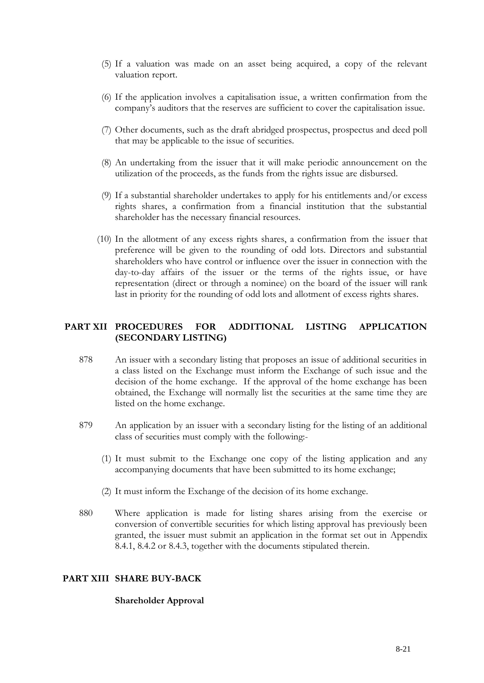- (5) If a valuation was made on an asset being acquired, a copy of the relevant valuation report.
- (6) If the application involves a capitalisation issue, a written confirmation from the company's auditors that the reserves are sufficient to cover the capitalisation issue.
- (7) Other documents, such as the draft abridged prospectus, prospectus and deed poll that may be applicable to the issue of securities.
- (8) An undertaking from the issuer that it will make periodic announcement on the utilization of the proceeds, as the funds from the rights issue are disbursed.
- (9) If a substantial shareholder undertakes to apply for his entitlements and/or excess rights shares, a confirmation from a financial institution that the substantial shareholder has the necessary financial resources.
- (10) In the allotment of any excess rights shares, a confirmation from the issuer that preference will be given to the rounding of odd lots. Directors and substantial shareholders who have control or influence over the issuer in connection with the day-to-day affairs of the issuer or the terms of the rights issue, or have representation (direct or through a nominee) on the board of the issuer will rank last in priority for the rounding of odd lots and allotment of excess rights shares.

# **PART XII PROCEDURES FOR ADDITIONAL LISTING APPLICATION (SECONDARY LISTING)**

- 878 An issuer with a secondary listing that proposes an issue of additional securities in a class listed on the Exchange must inform the Exchange of such issue and the decision of the home exchange. If the approval of the home exchange has been obtained, the Exchange will normally list the securities at the same time they are listed on the home exchange.
- 879 An application by an issuer with a secondary listing for the listing of an additional class of securities must comply with the following:-
	- (1) It must submit to the Exchange one copy of the listing application and any accompanying documents that have been submitted to its home exchange;
	- (2) It must inform the Exchange of the decision of its home exchange.
- 880 Where application is made for listing shares arising from the exercise or conversion of convertible securities for which listing approval has previously been granted, the issuer must submit an application in the format set out in Appendix 8.4.1, 8.4.2 or 8.4.3, together with the documents stipulated therein.

## **PART XIII SHARE BUY-BACK**

### **Shareholder Approval**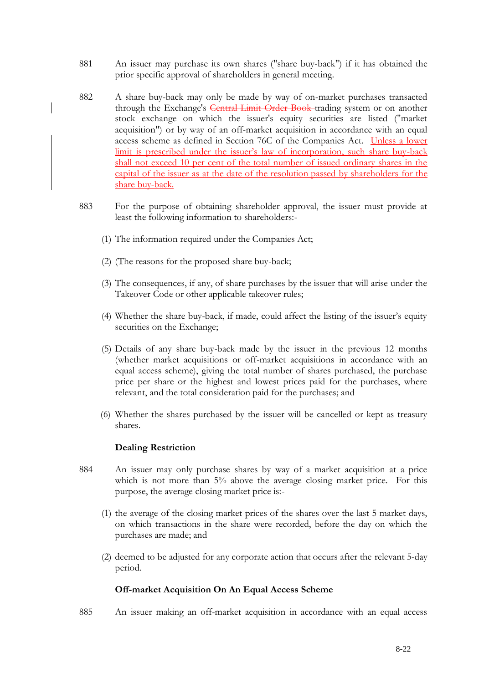- 881 An issuer may purchase its own shares ("share buy-back") if it has obtained the prior specific approval of shareholders in general meeting.
- 882 A share buy-back may only be made by way of on-market purchases transacted through the Exchange's Central Limit Order Book trading system or on another stock exchange on which the issuer's equity securities are listed ("market acquisition") or by way of an off-market acquisition in accordance with an equal access scheme as defined in Section 76C of the Companies Act. Unless a lower limit is prescribed under the issuer's law of incorporation, such share buy-back shall not exceed 10 per cent of the total number of issued ordinary shares in the capital of the issuer as at the date of the resolution passed by shareholders for the share buy-back.
- 883 For the purpose of obtaining shareholder approval, the issuer must provide at least the following information to shareholders:-
	- (1) The information required under the Companies Act;
	- (2) (The reasons for the proposed share buy-back;
	- (3) The consequences, if any, of share purchases by the issuer that will arise under the Takeover Code or other applicable takeover rules;
	- (4) Whether the share buy-back, if made, could affect the listing of the issuer's equity securities on the Exchange;
	- (5) Details of any share buy-back made by the issuer in the previous 12 months (whether market acquisitions or off-market acquisitions in accordance with an equal access scheme), giving the total number of shares purchased, the purchase price per share or the highest and lowest prices paid for the purchases, where relevant, and the total consideration paid for the purchases; and
	- (6) Whether the shares purchased by the issuer will be cancelled or kept as treasury shares.

### **Dealing Restriction**

- 884 An issuer may only purchase shares by way of a market acquisition at a price which is not more than 5% above the average closing market price. For this purpose, the average closing market price is:-
	- (1) the average of the closing market prices of the shares over the last 5 market days, on which transactions in the share were recorded, before the day on which the purchases are made; and
	- (2) deemed to be adjusted for any corporate action that occurs after the relevant 5-day period.

## **Off-market Acquisition On An Equal Access Scheme**

885 An issuer making an off-market acquisition in accordance with an equal access